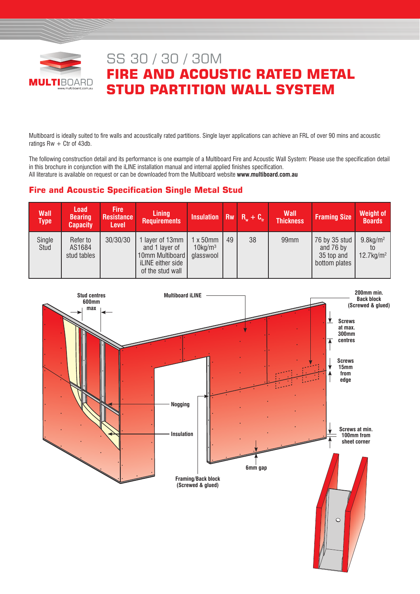

# SS 30 / 30 / 30M **FIRE AND ACOUSTIC RATED METAL STUD PARTITION WALL SYSTEM**

Multiboard is ideally suited to fire walls and acoustically rated partitions. Single layer applications can achieve an FRL of over 90 mins and acoustic ratings  $Rw + Ctr$  of 43db.

The following construction detail and its performance is one example of a Multiboard Fire and Acoustic Wall System: Please use the specification detail in this brochure in conjunction with the iLINE installation manual and internal applied finishes specification. All literature is available on request or can be downloaded from the Multiboard website **www.multiboard.com.au**

## **Fire and Acoustic Specification Single Metal Stud**

| <b>Wall</b><br>Type | <b>Load</b><br><b>Bearing</b><br><b>Capacity</b> | <b>Fire</b><br><b>Resistance</b><br><b>Level</b> | <b>Lining</b><br><b>Requirements</b>                                                          | Insulation $\overline{Rw}$ $\overline{R_w}$ + $\overline{C_w}$ |    |    | <b>Wall</b><br><b>Thickness</b> | <b>Framing Size</b>                                       | <b>Weight of</b><br><b>Boards</b>                   |
|---------------------|--------------------------------------------------|--------------------------------------------------|-----------------------------------------------------------------------------------------------|----------------------------------------------------------------|----|----|---------------------------------|-----------------------------------------------------------|-----------------------------------------------------|
| Single<br>Stud      | Refer to<br>AS1684<br>stud tables                | 30/30/30                                         | 1 layer of 13mm<br>and 1 layer of<br>10mm Multiboard<br>iLINE either side<br>of the stud wall | $1 \times 50$ mm<br>$10$ kg/m <sup>3</sup><br>glasswool        | 49 | 38 | 99 <sub>mm</sub>                | 76 by 35 stud<br>and 76 by<br>35 top and<br>bottom plates | $9.8$ kg/m <sup>2</sup><br>$12.7$ kg/m <sup>2</sup> |